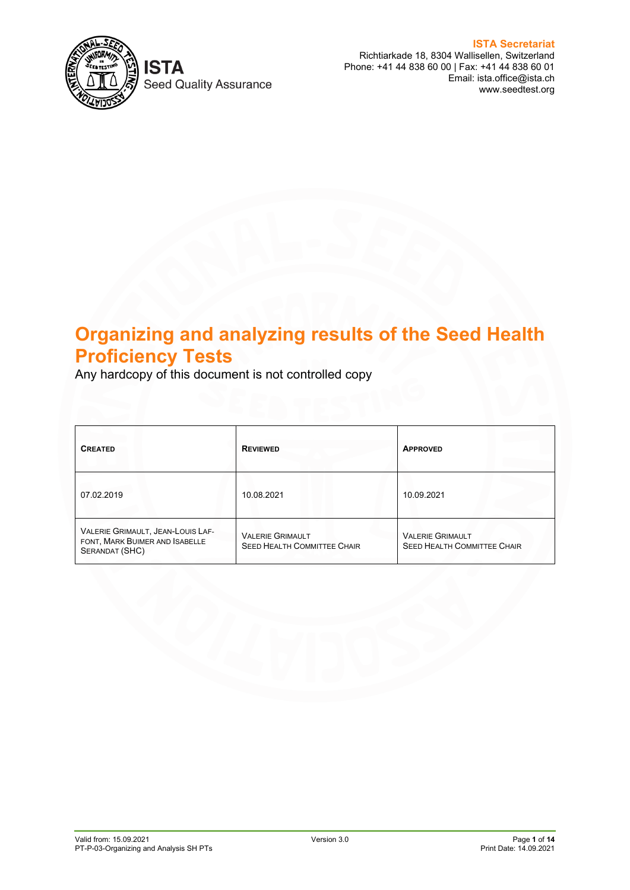

**Seed Quality Assurance** 

**ISTA Secretariat** Richtiarkade 18, 8304 Wallisellen, Switzerland Phone: +41 44 838 60 00 | Fax: +41 44 838 60 01 Email: ista.office@ista.ch www.seedtest.org

# **Organizing and analyzing results of the Seed Health Proficiency Tests**

Any hardcopy of this document is not controlled copy

| <b>CREATED</b>                                                                        | <b>REVIEWED</b>                                               | <b>APPROVED</b>                                               |
|---------------------------------------------------------------------------------------|---------------------------------------------------------------|---------------------------------------------------------------|
| 07.02.2019                                                                            | 10.08.2021                                                    | 10.09.2021                                                    |
| VALERIE GRIMAULT, JEAN-LOUIS LAF-<br>FONT, MARK BUIMER AND ISABELLE<br>SERANDAT (SHC) | <b>VALERIE GRIMAULT</b><br><b>SEED HEALTH COMMITTEE CHAIR</b> | <b>VALERIE GRIMAULT</b><br><b>SEED HEALTH COMMITTEE CHAIR</b> |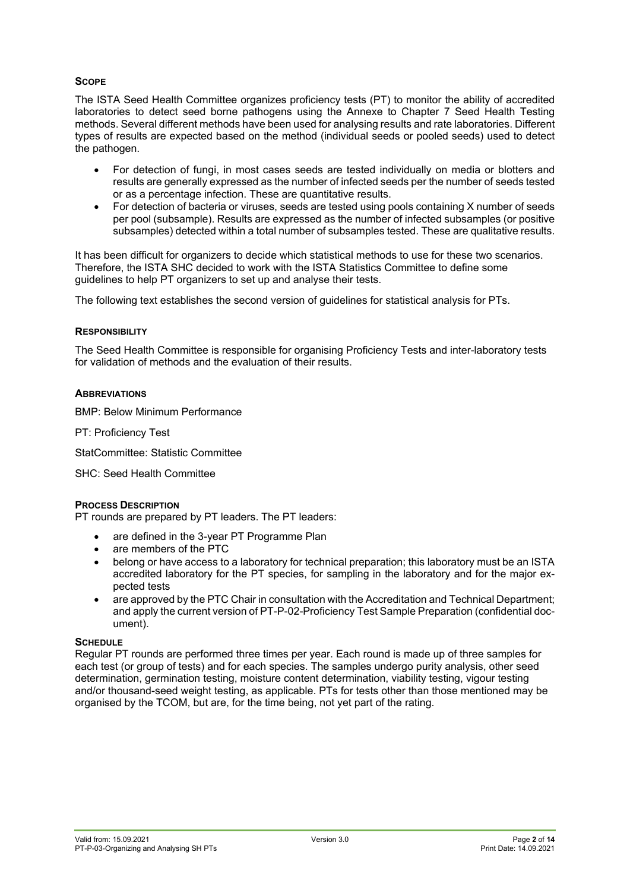# **SCOPE**

The ISTA Seed Health Committee organizes proficiency tests (PT) to monitor the ability of accredited laboratories to detect seed borne pathogens using the Annexe to Chapter 7 Seed Health Testing methods. Several different methods have been used for analysing results and rate laboratories. Different types of results are expected based on the method (individual seeds or pooled seeds) used to detect the pathogen.

- For detection of fungi, in most cases seeds are tested individually on media or blotters and results are generally expressed as the number of infected seeds per the number of seeds tested or as a percentage infection. These are quantitative results.
- For detection of bacteria or viruses, seeds are tested using pools containing X number of seeds per pool (subsample). Results are expressed as the number of infected subsamples (or positive subsamples) detected within a total number of subsamples tested. These are qualitative results.

It has been difficult for organizers to decide which statistical methods to use for these two scenarios. Therefore, the ISTA SHC decided to work with the ISTA Statistics Committee to define some guidelines to help PT organizers to set up and analyse their tests.

The following text establishes the second version of guidelines for statistical analysis for PTs.

#### **RESPONSIBILITY**

The Seed Health Committee is responsible for organising Proficiency Tests and inter-laboratory tests for validation of methods and the evaluation of their results.

#### **ABBREVIATIONS**

BMP: Below Minimum Performance

PT: Proficiency Test

StatCommittee: Statistic Committee

SHC: Seed Health Committee

#### **PROCESS DESCRIPTION**

PT rounds are prepared by PT leaders. The PT leaders:

- are defined in the 3-year PT Programme Plan
- are members of the PTC
- belong or have access to a laboratory for technical preparation; this laboratory must be an ISTA accredited laboratory for the PT species, for sampling in the laboratory and for the major expected tests
- are approved by the PTC Chair in consultation with the Accreditation and Technical Department; and apply the current version of PT-P-02-Proficiency Test Sample Preparation (confidential document).

#### **SCHEDULE**

Regular PT rounds are performed three times per year. Each round is made up of three samples for each test (or group of tests) and for each species. The samples undergo purity analysis, other seed determination, germination testing, moisture content determination, viability testing, vigour testing and/or thousand-seed weight testing, as applicable. PTs for tests other than those mentioned may be organised by the TCOM, but are, for the time being, not yet part of the rating.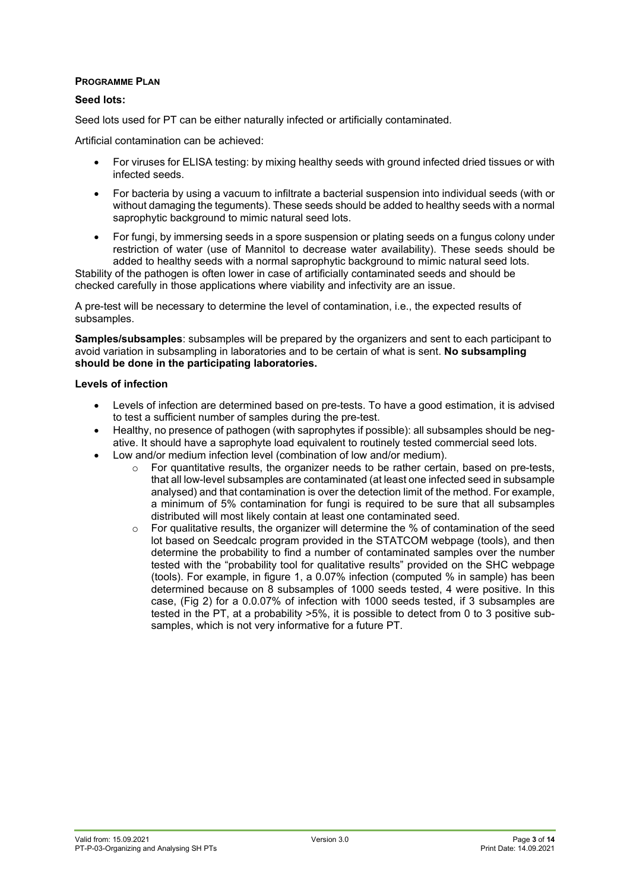## **PROGRAMME PLAN**

## **Seed lots:**

Seed lots used for PT can be either naturally infected or artificially contaminated.

Artificial contamination can be achieved:

- For viruses for ELISA testing: by mixing healthy seeds with ground infected dried tissues or with infected seeds.
- For bacteria by using a vacuum to infiltrate a bacterial suspension into individual seeds (with or without damaging the teguments). These seeds should be added to healthy seeds with a normal saprophytic background to mimic natural seed lots.
- For fungi, by immersing seeds in a spore suspension or plating seeds on a fungus colony under restriction of water (use of Mannitol to decrease water availability). These seeds should be added to healthy seeds with a normal saprophytic background to mimic natural seed lots.

Stability of the pathogen is often lower in case of artificially contaminated seeds and should be checked carefully in those applications where viability and infectivity are an issue.

A pre-test will be necessary to determine the level of contamination, i.e., the expected results of subsamples.

**Samples/subsamples**: subsamples will be prepared by the organizers and sent to each participant to avoid variation in subsampling in laboratories and to be certain of what is sent. **No subsampling should be done in the participating laboratories.**

#### **Levels of infection**

- Levels of infection are determined based on pre-tests. To have a good estimation, it is advised to test a sufficient number of samples during the pre-test.
- Healthy, no presence of pathogen (with saprophytes if possible): all subsamples should be negative. It should have a saprophyte load equivalent to routinely tested commercial seed lots.
- Low and/or medium infection level (combination of low and/or medium).
	- $\circ$  For quantitative results, the organizer needs to be rather certain, based on pre-tests, that all low-level subsamples are contaminated (at least one infected seed in subsample analysed) and that contamination is over the detection limit of the method. For example, a minimum of 5% contamination for fungi is required to be sure that all subsamples distributed will most likely contain at least one contaminated seed.
	- $\circ$  For qualitative results, the organizer will determine the % of contamination of the seed lot based on Seedcalc program provided in the STATCOM webpage (tools), and then determine the probability to find a number of contaminated samples over the number tested with the "probability tool for qualitative results" provided on the SHC webpage (tools). For example, in figure 1, a 0.07% infection (computed % in sample) has been determined because on 8 subsamples of 1000 seeds tested, 4 were positive. In this case, (Fig 2) for a 0.0.07% of infection with 1000 seeds tested, if 3 subsamples are tested in the PT, at a probability >5%, it is possible to detect from 0 to 3 positive subsamples, which is not very informative for a future PT.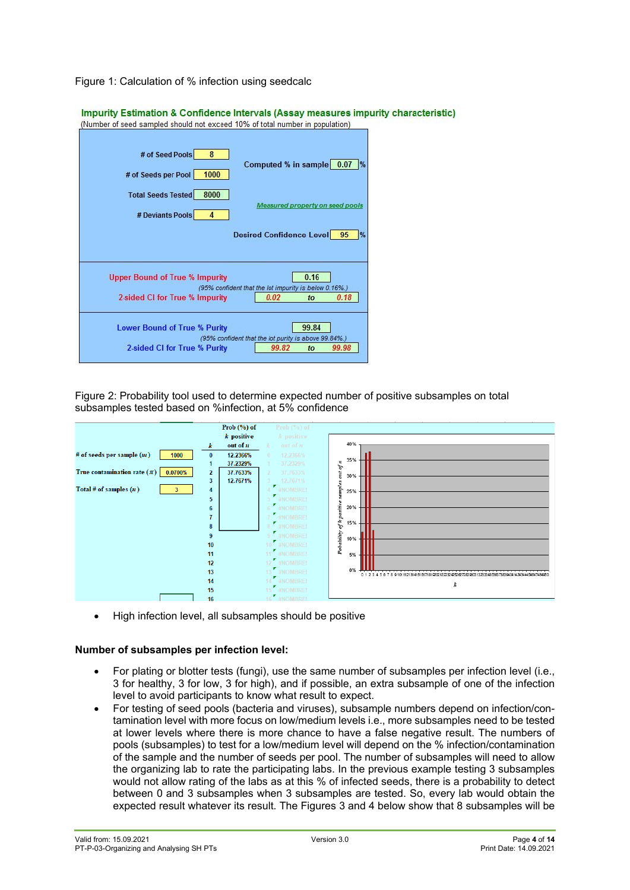

| Impurity Estimation & Confidence Intervals (Assay measures impurity characteristic)<br>(Number of seed sampled should not exceed 10% of total number in population) |           |                                                       |       |                                 |  |
|---------------------------------------------------------------------------------------------------------------------------------------------------------------------|-----------|-------------------------------------------------------|-------|---------------------------------|--|
| # of Seed Pools<br># of Seeds per Pool                                                                                                                              | 8<br>1000 | Computed % in sample 0.07                             |       |                                 |  |
| <b>Total Seeds Tested</b><br># Deviants Pools                                                                                                                       | 8000<br>4 |                                                       |       | Measured property on seed pools |  |
|                                                                                                                                                                     |           | Desired Confidence Level 95                           |       | $\frac{9}{6}$                   |  |
| <b>Upper Bound of True % Impurity</b>                                                                                                                               |           | (95% confident that the lot impurity is below 0.16%.) | 0.16  |                                 |  |
| 2-sided CI for True % Impurity                                                                                                                                      |           | 0.02                                                  | to    | 0.18                            |  |
| <b>Lower Bound of True % Purity</b>                                                                                                                                 |           | (95% confident that the lot purity is above 99.84%.)  | 99.84 |                                 |  |
| 2-sided CI for True % Purity                                                                                                                                        |           | 99.82                                                 | to    | 99.98                           |  |

Figure 2: Probability tool used to determine expected number of positive subsamples on total subsamples tested based on %infection, at 5% confidence



• High infection level, all subsamples should be positive

## **Number of subsamples per infection level:**

- For plating or blotter tests (fungi), use the same number of subsamples per infection level (i.e., 3 for healthy, 3 for low, 3 for high), and if possible, an extra subsample of one of the infection level to avoid participants to know what result to expect.
- For testing of seed pools (bacteria and viruses), subsample numbers depend on infection/contamination level with more focus on low/medium levels i.e., more subsamples need to be tested at lower levels where there is more chance to have a false negative result. The numbers of pools (subsamples) to test for a low/medium level will depend on the % infection/contamination of the sample and the number of seeds per pool. The number of subsamples will need to allow the organizing lab to rate the participating labs. In the previous example testing 3 subsamples would not allow rating of the labs as at this % of infected seeds, there is a probability to detect between 0 and 3 subsamples when 3 subsamples are tested. So, every lab would obtain the expected result whatever its result. The Figures 3 and 4 below show that 8 subsamples will be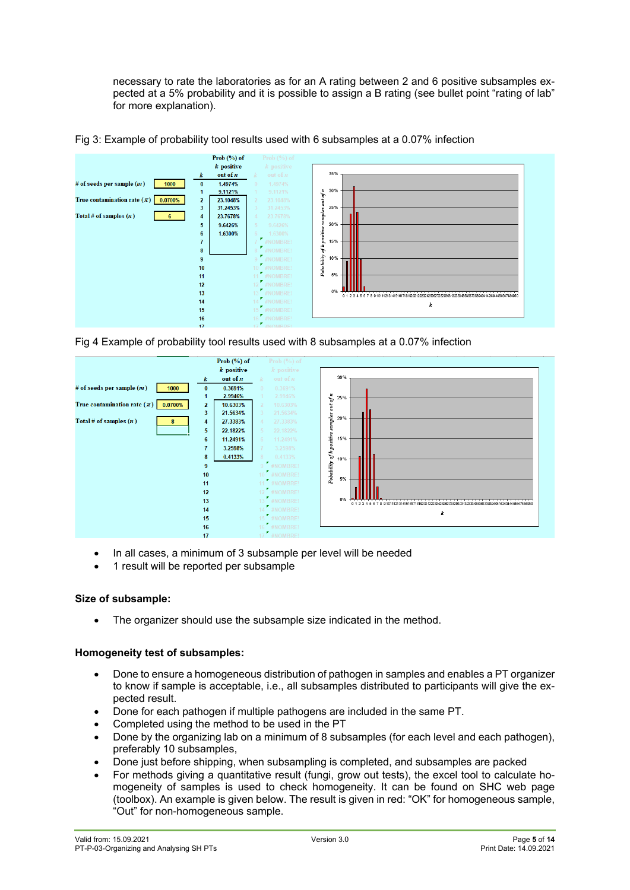necessary to rate the laboratories as for an A rating between 2 and 6 positive subsamples expected at a 5% probability and it is possible to assign a B rating (see bullet point "rating of lab" for more explanation).





Fig 4 Example of probability tool results used with 8 subsamples at a 0.07% infection



- In all cases, a minimum of 3 subsample per level will be needed
- 1 result will be reported per subsample

## **Size of subsample:**

The organizer should use the subsample size indicated in the method.

## **Homogeneity test of subsamples:**

- Done to ensure a homogeneous distribution of pathogen in samples and enables a PT organizer to know if sample is acceptable, i.e., all subsamples distributed to participants will give the expected result.
- Done for each pathogen if multiple pathogens are included in the same PT.
- Completed using the method to be used in the PT
- Done by the organizing lab on a minimum of 8 subsamples (for each level and each pathogen), preferably 10 subsamples,
- Done just before shipping, when subsampling is completed, and subsamples are packed
- For methods giving a quantitative result (fungi, grow out tests), the excel tool to calculate homogeneity of samples is used to check homogeneity. It can be found on SHC web page (toolbox). An example is given below. The result is given in red: "OK" for homogeneous sample, "Out" for non-homogeneous sample.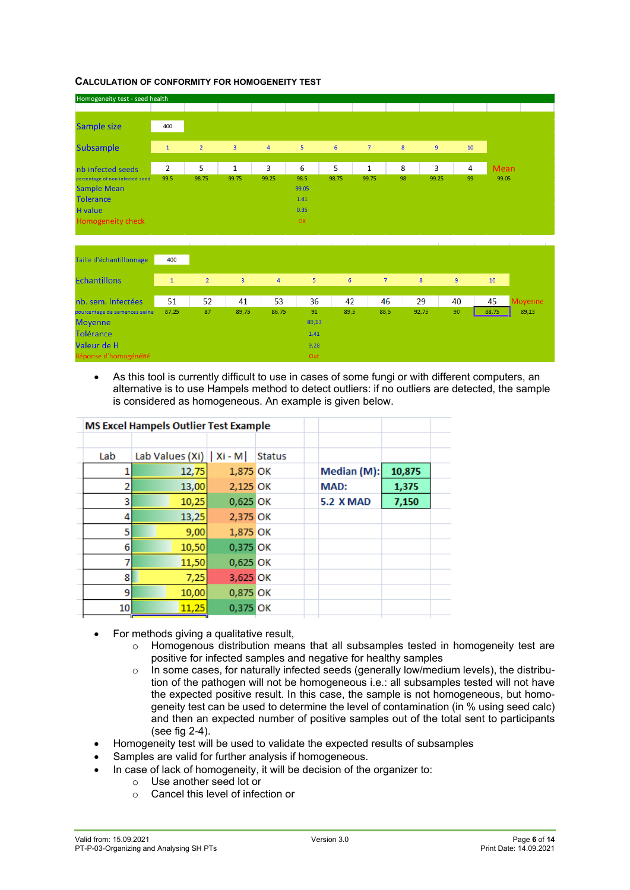#### **CALCULATION OF CONFORMITY FOR HOMOGENEITY TEST**



| Taille d'échantillonnage      | 400          |                |       |                |       |      |                |       |                |       |                |
|-------------------------------|--------------|----------------|-------|----------------|-------|------|----------------|-------|----------------|-------|----------------|
| <b>Echantillons</b>           | $\mathbf{1}$ | $\overline{2}$ | 3     | $\overline{4}$ | 5     | 6    | $\overline{7}$ | 8     | $\overline{9}$ | 10    |                |
| nb. sem. infectées            | 51           | 52             | 41    | 53             | 36    | 42   | 46             | 29    | 40             | 45    | <b>Movenne</b> |
| pourcentage de semences saine | 87,25        | 87             | 89,75 | 86,75          | 91    | 89,5 | 88,5           | 92,75 | 90             | 88,75 |                |
| <b>Moyenne</b>                |              |                |       |                | 89,13 |      |                |       |                |       |                |
| <b>Tolérance</b>              |              |                |       |                | 1,41  |      |                |       |                |       |                |
| Valeur de H                   |              |                |       |                | 9,28  |      |                |       |                |       |                |
| Réponse d'homogénéité         |              |                |       |                | Out   |      |                |       |                |       |                |

• As this tool is currently difficult to use in cases of some fungi or with different computers, an alternative is to use Hampels method to detect outliers: if no outliers are detected, the sample is considered as homogeneous. An example is given below.

|     | <b>MS Excel Hampels Outlier Test Example</b> |          |               |                  |        |  |
|-----|----------------------------------------------|----------|---------------|------------------|--------|--|
|     |                                              |          |               |                  |        |  |
| Lab | Lab Values (Xi)   Xi - M                     |          | <b>Status</b> |                  |        |  |
|     | 12,75                                        | 1,875 OK |               | Median (M):      | 10,875 |  |
| 2   | 13,00                                        | 2,125 OK |               | <b>MAD:</b>      | 1,375  |  |
| 3   | 10,25                                        | 0,625 OK |               | <b>5.2 X MAD</b> | 7,150  |  |
| 4   | 13,25                                        | 2,375 OK |               |                  |        |  |
| 5   | 9,00                                         | 1,875 OK |               |                  |        |  |
| 6   | 10,50                                        | 0,375 OK |               |                  |        |  |
| 7   | 11,50                                        | 0,625 OK |               |                  |        |  |
| 8   | 7,25                                         | 3,625 OK |               |                  |        |  |
| 9   | 10,00                                        | 0,875 OK |               |                  |        |  |
| 10  | 11,25                                        | 0,375 OK |               |                  |        |  |
|     |                                              |          |               |                  |        |  |

- For methods giving a qualitative result,
	- $\circ$  Homogenous distribution means that all subsamples tested in homogeneity test are positive for infected samples and negative for healthy samples
	- $\circ$  In some cases, for naturally infected seeds (generally low/medium levels), the distribution of the pathogen will not be homogeneous i.e.: all subsamples tested will not have the expected positive result. In this case, the sample is not homogeneous, but homogeneity test can be used to determine the level of contamination (in % using seed calc) and then an expected number of positive samples out of the total sent to participants (see fig 2-4).
- Homogeneity test will be used to validate the expected results of subsamples
- Samples are valid for further analysis if homogeneous.
- In case of lack of homogeneity, it will be decision of the organizer to:
	- Use another seed lot or<br>○ Cancel this level of infer
	- Cancel this level of infection or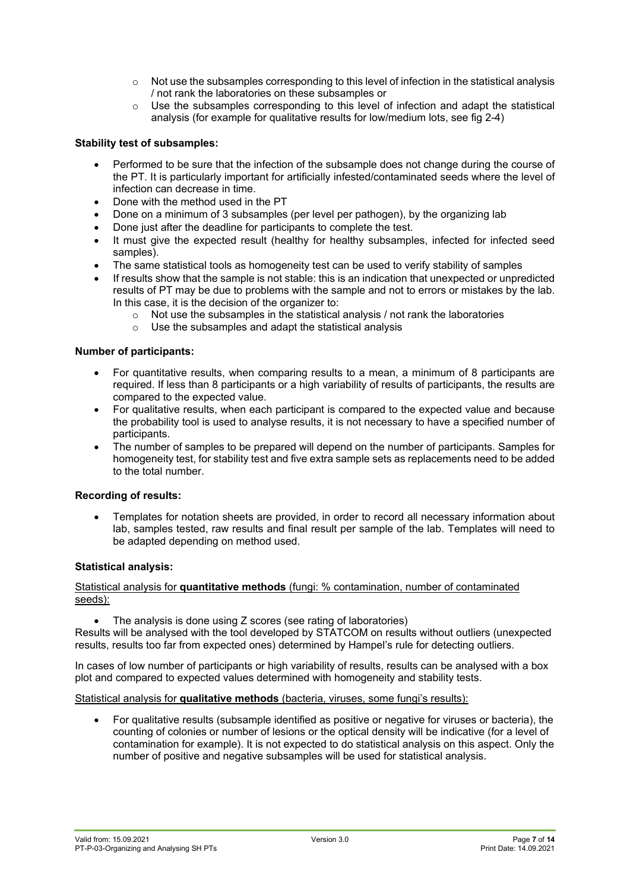- $\circ$  Not use the subsamples corresponding to this level of infection in the statistical analysis / not rank the laboratories on these subsamples or
- $\circ$  Use the subsamples corresponding to this level of infection and adapt the statistical analysis (for example for qualitative results for low/medium lots, see fig 2-4)

## **Stability test of subsamples:**

- Performed to be sure that the infection of the subsample does not change during the course of the PT. It is particularly important for artificially infested/contaminated seeds where the level of infection can decrease in time.
- Done with the method used in the PT
- Done on a minimum of 3 subsamples (per level per pathogen), by the organizing lab
- Done just after the deadline for participants to complete the test.
- It must give the expected result (healthy for healthy subsamples, infected for infected seed samples).
- The same statistical tools as homogeneity test can be used to verify stability of samples
- If results show that the sample is not stable: this is an indication that unexpected or unpredicted results of PT may be due to problems with the sample and not to errors or mistakes by the lab. In this case, it is the decision of the organizer to:
	- $\circ$  Not use the subsamples in the statistical analysis / not rank the laboratories  $\circ$  Use the subsamples and adapt the statistical analysis
	- Use the subsamples and adapt the statistical analysis

#### **Number of participants:**

- For quantitative results, when comparing results to a mean, a minimum of 8 participants are required. If less than 8 participants or a high variability of results of participants, the results are compared to the expected value.
- For qualitative results, when each participant is compared to the expected value and because the probability tool is used to analyse results, it is not necessary to have a specified number of participants.
- The number of samples to be prepared will depend on the number of participants. Samples for homogeneity test, for stability test and five extra sample sets as replacements need to be added to the total number.

## **Recording of results:**

• Templates for notation sheets are provided, in order to record all necessary information about lab, samples tested, raw results and final result per sample of the lab. Templates will need to be adapted depending on method used.

## **Statistical analysis:**

#### Statistical analysis for **quantitative methods** (fungi: % contamination, number of contaminated seeds):

The analysis is done using Z scores (see rating of laboratories)

Results will be analysed with the tool developed by STATCOM on results without outliers (unexpected results, results too far from expected ones) determined by Hampel's rule for detecting outliers.

In cases of low number of participants or high variability of results, results can be analysed with a box plot and compared to expected values determined with homogeneity and stability tests.

## Statistical analysis for **qualitative methods** (bacteria, viruses, some fungi's results):

• For qualitative results (subsample identified as positive or negative for viruses or bacteria), the counting of colonies or number of lesions or the optical density will be indicative (for a level of contamination for example). It is not expected to do statistical analysis on this aspect. Only the number of positive and negative subsamples will be used for statistical analysis.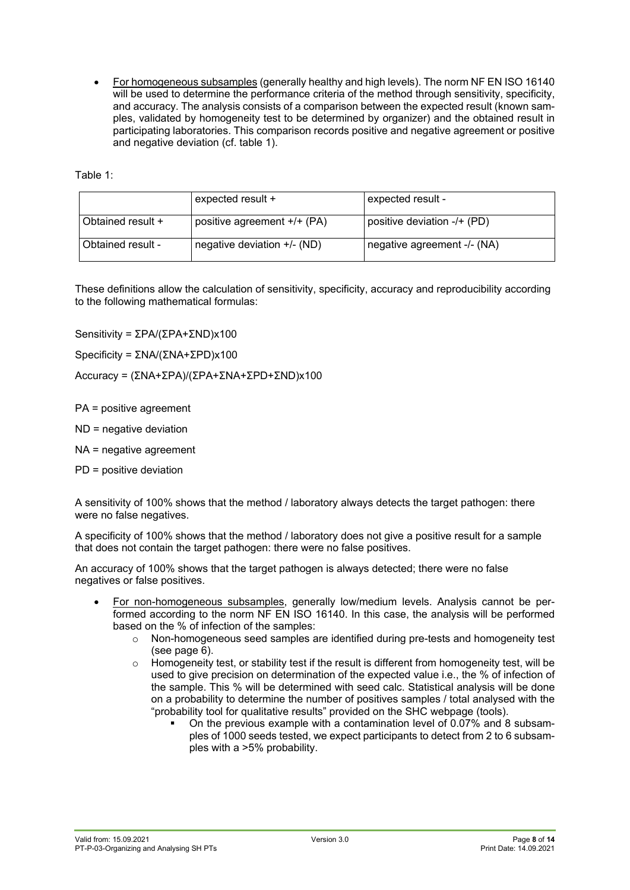• For homogeneous subsamples (generally healthy and high levels). The norm NF EN ISO 16140 will be used to determine the performance criteria of the method through sensitivity, specificity, and accuracy. The analysis consists of a comparison between the expected result (known samples, validated by homogeneity test to be determined by organizer) and the obtained result in participating laboratories. This comparison records positive and negative agreement or positive and negative deviation (cf. table 1).

Table 1:

|                   | expected result +           | expected result -           |
|-------------------|-----------------------------|-----------------------------|
| Obtained result + | positive agreement +/+ (PA) | positive deviation -/+ (PD) |
| Obtained result - | negative deviation +/- (ND) | negative agreement -/- (NA) |

These definitions allow the calculation of sensitivity, specificity, accuracy and reproducibility according to the following mathematical formulas:

Sensitivity = ΣPA/(ΣPA+ΣND)x100

Specificity = ΣNA/(ΣNA+ΣPD)x100

Accuracy = (ΣNA+ΣPA)/(ΣPA+ΣNA+ΣPD+ΣND)x100

PA = positive agreement

ND = negative deviation

NA = negative agreement

PD = positive deviation

A sensitivity of 100% shows that the method / laboratory always detects the target pathogen: there were no false negatives.

A specificity of 100% shows that the method / laboratory does not give a positive result for a sample that does not contain the target pathogen: there were no false positives.

An accuracy of 100% shows that the target pathogen is always detected; there were no false negatives or false positives.

- For non-homogeneous subsamples, generally low/medium levels. Analysis cannot be performed according to the norm NF EN ISO 16140. In this case, the analysis will be performed based on the % of infection of the samples:
	- $\circ$  Non-homogeneous seed samples are identified during pre-tests and homogeneity test (see page 6).
	- $\circ$  Homogeneity test, or stability test if the result is different from homogeneity test, will be used to give precision on determination of the expected value i.e., the % of infection of the sample. This % will be determined with seed calc. Statistical analysis will be done on a probability to determine the number of positives samples / total analysed with the "probability tool for qualitative results" provided on the SHC webpage (tools).
		- On the previous example with a contamination level of 0.07% and 8 subsamples of 1000 seeds tested, we expect participants to detect from 2 to 6 subsamples with a >5% probability.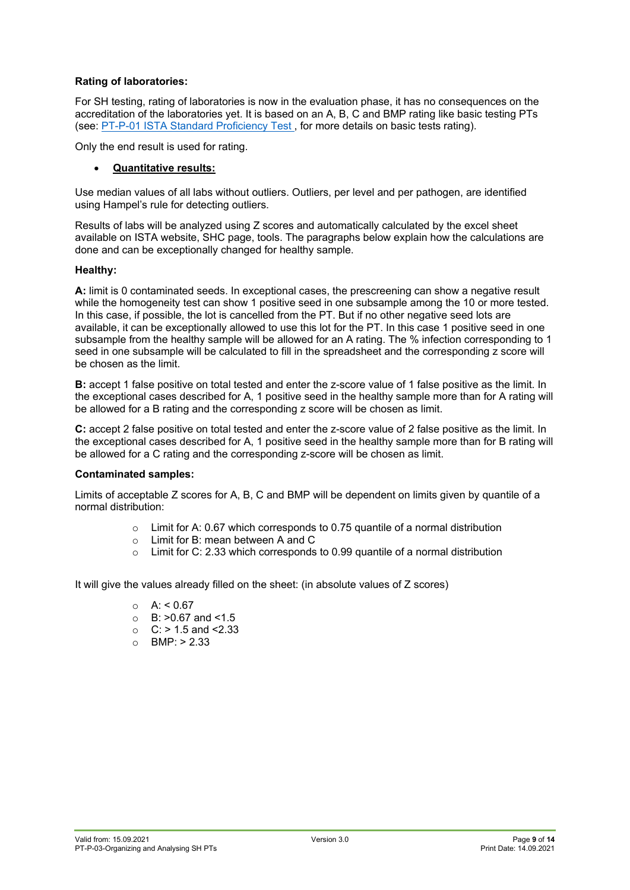## **Rating of laboratories:**

For SH testing, rating of laboratories is now in the evaluation phase, it has no consequences on the accreditation of the laboratories yet. It is based on an A, B, C and BMP rating like basic testing PTs (see: [PT-P-01 ISTA Standard Proficiency Test ,](https://www.seedtest.org/en/proficiency-test-documents-_content---1--3493.html) for more details on basic tests rating).

Only the end result is used for rating.

## • **Quantitative results:**

Use median values of all labs without outliers. Outliers, per level and per pathogen, are identified using Hampel's rule for detecting outliers.

Results of labs will be analyzed using Z scores and automatically calculated by the excel sheet available on ISTA website, SHC page, tools. The paragraphs below explain how the calculations are done and can be exceptionally changed for healthy sample.

#### **Healthy:**

**A:** limit is 0 contaminated seeds. In exceptional cases, the prescreening can show a negative result while the homogeneity test can show 1 positive seed in one subsample among the 10 or more tested. In this case, if possible, the lot is cancelled from the PT. But if no other negative seed lots are available, it can be exceptionally allowed to use this lot for the PT. In this case 1 positive seed in one subsample from the healthy sample will be allowed for an A rating. The % infection corresponding to 1 seed in one subsample will be calculated to fill in the spreadsheet and the corresponding z score will be chosen as the limit.

**B:** accept 1 false positive on total tested and enter the z-score value of 1 false positive as the limit. In the exceptional cases described for A, 1 positive seed in the healthy sample more than for A rating will be allowed for a B rating and the corresponding z score will be chosen as limit.

**C:** accept 2 false positive on total tested and enter the z-score value of 2 false positive as the limit. In the exceptional cases described for A, 1 positive seed in the healthy sample more than for B rating will be allowed for a C rating and the corresponding z-score will be chosen as limit.

## **Contaminated samples:**

Limits of acceptable Z scores for A, B, C and BMP will be dependent on limits given by quantile of a normal distribution:

- $\circ$  Limit for A: 0.67 which corresponds to 0.75 quantile of a normal distribution  $\circ$  Limit for B: mean between A and C
- $\circ$  Limit for B: mean between A and C<br> $\circ$  Limit for C: 2.33 which corresponds
- Limit for C: 2.33 which corresponds to 0.99 quantile of a normal distribution

It will give the values already filled on the sheet: (in absolute values of Z scores)

- $O$  A: < 0.67
- B: >0.67 and <1.5<br>○ C: > 1.5 and <2.33
- $C: > 1.5$  and  $\leq 2.33$
- $O$  BMP:  $> 2.33$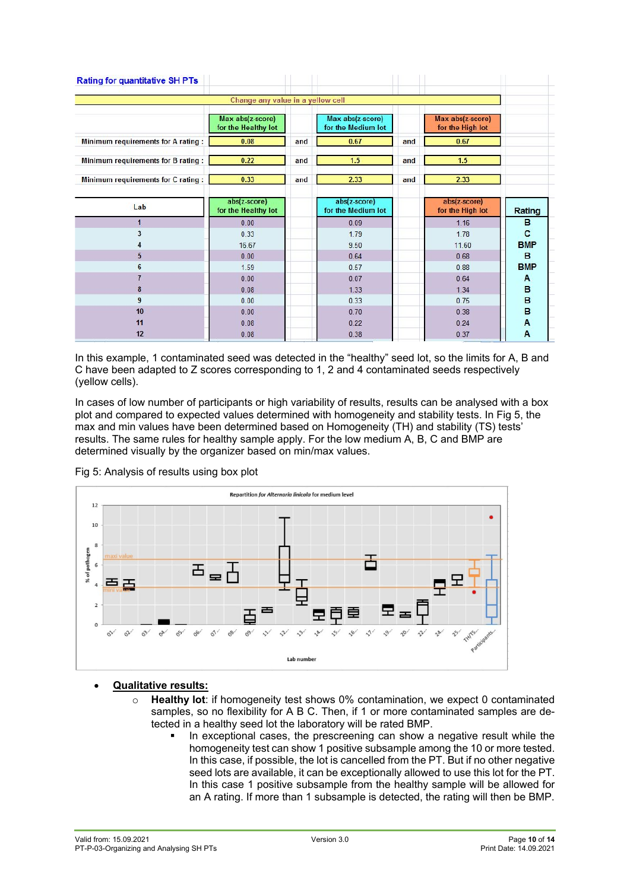|                                    | Change any value in a yellow cell       |     |                                        |     |                                      |                |
|------------------------------------|-----------------------------------------|-----|----------------------------------------|-----|--------------------------------------|----------------|
|                                    | Max abs(z-score)<br>for the Healthy lot |     | Max abs(z-score)<br>for the Medium lot |     | Max abs(z-score)<br>for the High lot |                |
| Minimum requirements for A rating: | 0.08                                    | and | 0.67                                   | and | 0.67                                 |                |
| Minimum requirements for B rating: | 0.22                                    | and | 1.5                                    | and | 1.5                                  |                |
| Minimum requirements for C rating: | 0.33                                    | and | 2.33                                   | and | 2.33                                 |                |
| Lab                                | abs(z-score)<br>for the Healthy lot     |     | abs(z-score)<br>for the Medium lot     |     | abs(z-score)<br>for the High lot     | Rating         |
| $\mathbf{1}$                       | 0.00                                    |     | 0.09                                   |     | 1.16                                 | в              |
| 3                                  | 0.33                                    |     | 1.79                                   |     | 1.78                                 | C              |
| 4                                  | 16.67                                   |     | 9.50                                   |     | 11.60                                | <b>BMP</b>     |
| $5\overline{)}$                    | 0.00                                    |     | 0.64                                   |     | 0.68                                 | в              |
| $6\phantom{1}$                     | 1.59                                    |     | 0.57                                   |     | 0.88                                 | <b>BMP</b>     |
|                                    | 0.00                                    |     | 0.07                                   |     | 0.64                                 | A              |
| 8                                  | 0.08                                    |     | 1.33                                   |     | 1.34                                 | в              |
| 9                                  | 0.00                                    |     | 0.33                                   |     | 0.75                                 | B              |
| 10                                 | 0.00                                    |     | 0.70                                   |     | 0.38                                 | B              |
| 11                                 | 0.08                                    |     | 0.22                                   |     | 0.24                                 | A              |
|                                    |                                         |     |                                        |     |                                      | $\overline{A}$ |

In this example, 1 contaminated seed was detected in the "healthy" seed lot, so the limits for A, B and C have been adapted to Z scores corresponding to 1, 2 and 4 contaminated seeds respectively (yellow cells).

In cases of low number of participants or high variability of results, results can be analysed with a box plot and compared to expected values determined with homogeneity and stability tests. In Fig 5, the max and min values have been determined based on Homogeneity (TH) and stability (TS) tests' results. The same rules for healthy sample apply. For the low medium A, B, C and BMP are determined visually by the organizer based on min/max values.





## • **Qualitative results:**

- o **Healthy lot**: if homogeneity test shows 0% contamination, we expect 0 contaminated samples, so no flexibility for A B C. Then, if 1 or more contaminated samples are detected in a healthy seed lot the laboratory will be rated BMP.
	- In exceptional cases, the prescreening can show a negative result while the homogeneity test can show 1 positive subsample among the 10 or more tested. In this case, if possible, the lot is cancelled from the PT. But if no other negative seed lots are available, it can be exceptionally allowed to use this lot for the PT. In this case 1 positive subsample from the healthy sample will be allowed for an A rating. If more than 1 subsample is detected, the rating will then be BMP.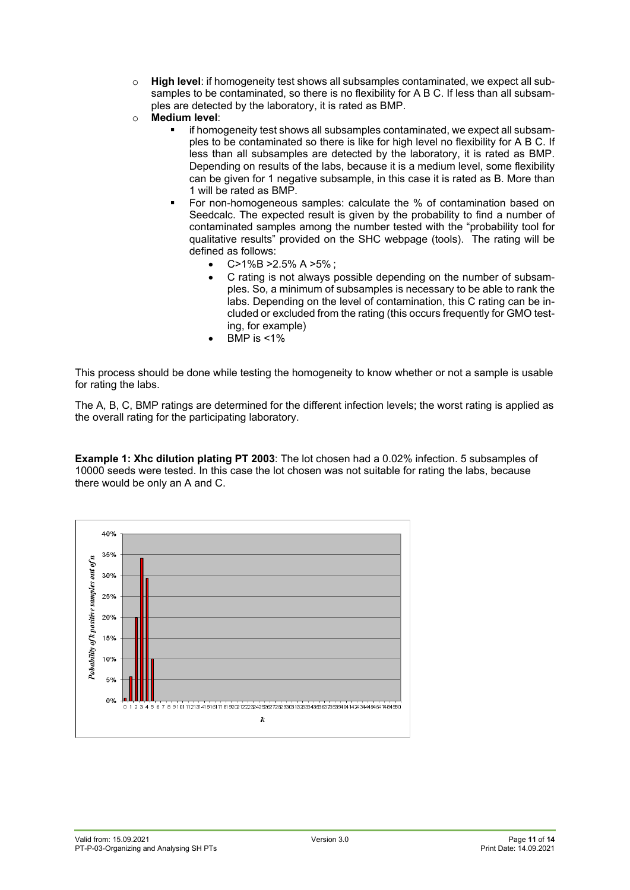- o **High level**: if homogeneity test shows all subsamples contaminated, we expect all subsamples to be contaminated, so there is no flexibility for A B C. If less than all subsamples are detected by the laboratory, it is rated as BMP.
- o **Medium level**:
	- if homogeneity test shows all subsamples contaminated, we expect all subsamples to be contaminated so there is like for high level no flexibility for A B C. If less than all subsamples are detected by the laboratory, it is rated as BMP. Depending on results of the labs, because it is a medium level, some flexibility can be given for 1 negative subsample, in this case it is rated as B. More than 1 will be rated as BMP.
	- For non-homogeneous samples: calculate the % of contamination based on Seedcalc. The expected result is given by the probability to find a number of contaminated samples among the number tested with the "probability tool for qualitative results" provided on the SHC webpage (tools). The rating will be defined as follows:
		- $C>1\%B>2.5\%A>5\%$ :
		- C rating is not always possible depending on the number of subsamples. So, a minimum of subsamples is necessary to be able to rank the labs. Depending on the level of contamination, this C rating can be included or excluded from the rating (this occurs frequently for GMO testing, for example)
		- BMP is  $<$ 1%

This process should be done while testing the homogeneity to know whether or not a sample is usable for rating the labs.

The A, B, C, BMP ratings are determined for the different infection levels; the worst rating is applied as the overall rating for the participating laboratory.

**Example 1: Xhc dilution plating PT 2003**: The lot chosen had a 0.02% infection. 5 subsamples of 10000 seeds were tested. In this case the lot chosen was not suitable for rating the labs, because there would be only an A and C.

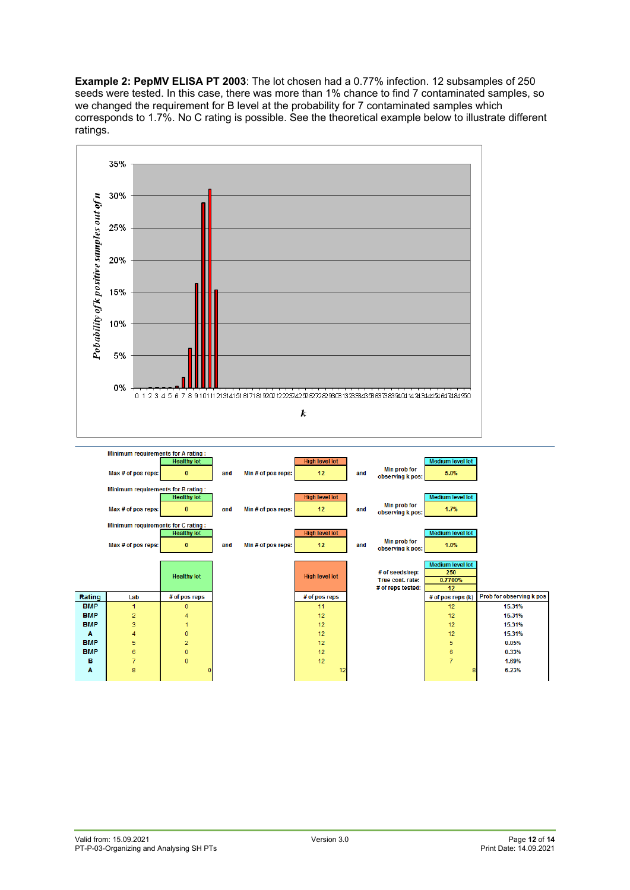**Example 2: PepMV ELISA PT 2003**: The lot chosen had a 0.77% infection. 12 subsamples of 250 seeds were tested. In this case, there was more than 1% chance to find 7 contaminated samples, so we changed the requirement for B level at the probability for 7 contaminated samples which corresponds to 1.7%. No C rating is possible. See the theoretical example below to illustrate different ratings.



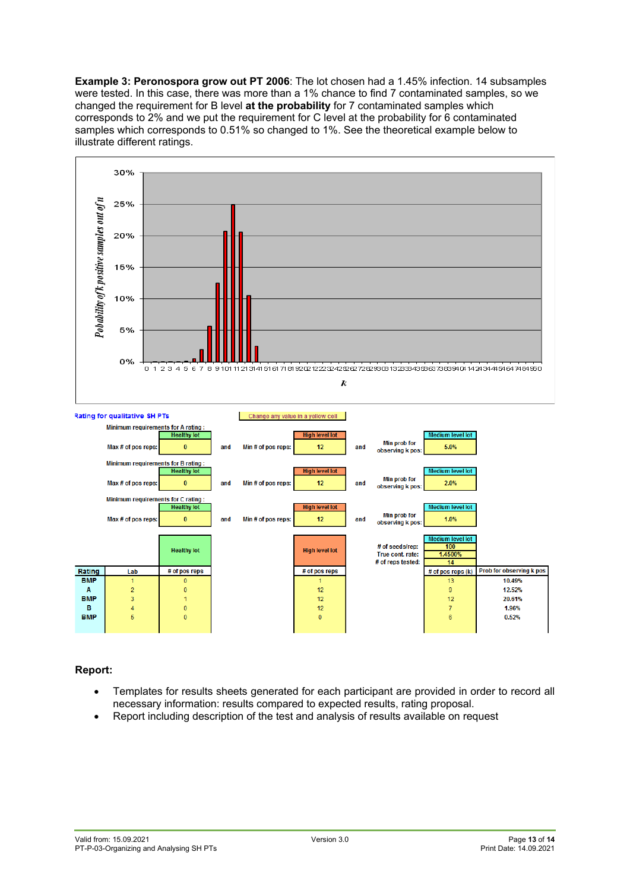**Example 3: Peronospora grow out PT 2006**: The lot chosen had a 1.45% infection. 14 subsamples were tested. In this case, there was more than a 1% chance to find 7 contaminated samples, so we changed the requirement for B level **at the probability** for 7 contaminated samples which corresponds to 2% and we put the requirement for C level at the probability for 6 contaminated samples which corresponds to 0.51% so changed to 1%. See the theoretical example below to illustrate different ratings.



# **Report:**

- Templates for results sheets generated for each participant are provided in order to record all necessary information: results compared to expected results, rating proposal.
- Report including description of the test and analysis of results available on request